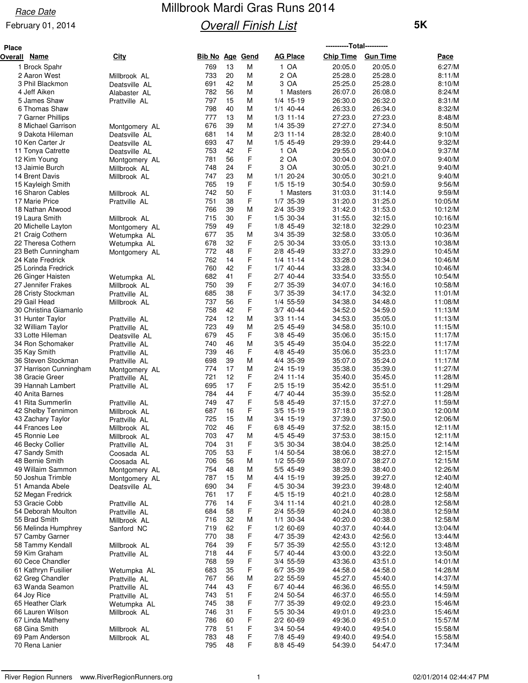### February 01, 2014

# Millbrook Mardi Gras Runs 2014 **Overall Finish List**

| <b>Place</b> |                                         |                                |            |            |             |                            | -----------Total----------- |                    |                    |
|--------------|-----------------------------------------|--------------------------------|------------|------------|-------------|----------------------------|-----------------------------|--------------------|--------------------|
| Overall      | <u>Name</u>                             | <u>City</u>                    | Bib No     | <u>Age</u> | <u>Gend</u> | <b>AG Place</b>            | <b>Chip Time</b>            | <b>Gun Time</b>    | Pace               |
|              | 1 Brock Spahr                           |                                | 769        | 13         | M           | 1 OA                       | 20:05.0                     | 20:05.0            | 6:27/M             |
|              | 2 Aaron West                            | Millbrook AL                   | 733        | 20         | M           | 2 OA                       | 25:28.0                     | 25:28.0            | 8:11/M             |
|              | 3 Phil Blackmon                         | Deatsville AL                  | 691        | 42         | М           | 3 OA                       | 25:25.0                     | 25:28.0            | 8:10/M             |
|              | 4 Jeff Aiken                            | Alabaster AL                   | 782        | 56         | м           | 1 Masters                  | 26:07.0                     | 26:08.0            | 8:24/M             |
|              | 5 James Shaw                            | Prattville AL                  | 797        | 15         | M           | 1/4 15-19                  | 26:30.0                     | 26:32.0            | 8:31/M             |
|              | 6 Thomas Shaw<br>7 Garner Phillips      |                                | 798<br>777 | 40<br>13   | M<br>M      | $1/1$ 40-44<br>$1/3$ 11-14 | 26:33.0<br>27:23.0          | 26:34.0<br>27:23.0 | 8:32/M<br>8:48/M   |
|              | 8 Michael Garrison                      | Montgomery AL                  | 676        | 39         | м           | 1/4 35-39                  | 27:27.0                     | 27:34.0            | 8:50/M             |
|              | 9 Dakota Hileman                        | Deatsville AL                  | 681        | 14         | М           | $2/3$ 11-14                | 28:32.0                     | 28:40.0            | 9:10/M             |
|              | 10 Ken Carter Jr                        | Deatsville AL                  | 693        | 47         | M           | 1/5 45-49                  | 29:39.0                     | 29:44.0            | 9:32/M             |
|              | 11 Tonya Catrette                       | Deatsville AL                  | 753        | 42         | F           | 1 OA                       | 29:55.0                     | 30:04.0            | 9:37/M             |
|              | 12 Kim Young                            | Montgomery AL                  | 781        | 56         | F           | 2 OA                       | 30:04.0                     | 30:07.0            | 9:40/M             |
|              | 13 Jaimie Burch                         | Millbrook AL                   | 748        | 24         | F           | 3 OA                       | 30:05.0                     | 30:21.0            | 9:40/M             |
|              | 14 Brent Davis                          | Millbrook AL                   | 747        | 23         | M           | $1/1$ 20-24                | 30:05.0                     | 30:21.0            | 9:40/M             |
|              | 15 Kayleigh Smith                       |                                | 765        | 19         | F           | $1/5$ 15-19                | 30:54.0                     | 30:59.0            | 9:56/M             |
|              | 16 Sharon Cables                        | Millbrook AL                   | 742        | 50<br>38   | F           | 1 Masters                  | 31:03.0                     | 31:14.0            | 9:59/M             |
|              | 17 Marie Price<br>18 Nathan Atwood      | Prattville AL                  | 751<br>766 | 39         | F<br>M      | 1/7 35-39<br>2/4 35-39     | 31:20.0<br>31:42.0          | 31:25.0<br>31:53.0 | 10:05/M<br>10:12/M |
|              | 19 Laura Smith                          | Millbrook AL                   | 715        | 30         | F           | 1/5 30-34                  | 31:55.0                     | 32:15.0            | 10:16/M            |
|              | 20 Michelle Layton                      | Montgomery AL                  | 759        | 49         | F           | 1/8 45-49                  | 32:18.0                     | 32:29.0            | 10:23/M            |
|              | 21 Craig Cothern                        | Wetumpka AL                    | 677        | 35         | M           | 3/4 35-39                  | 32:58.0                     | 33:05.0            | 10:36/M            |
|              | 22 Theresa Cothern                      | Wetumpka AL                    | 678        | 32         | F           | 2/5 30-34                  | 33:05.0                     | 33:13.0            | 10:38/M            |
|              | 23 Beth Cunningham                      | Montgomery AL                  | 772        | 48         | F           | 2/8 45-49                  | 33:27.0                     | 33:29.0            | 10:45/M            |
|              | 24 Kate Fredrick                        |                                | 762        | 14         | F           | $1/4$ 11-14                | 33:28.0                     | 33:34.0            | 10:46/M            |
|              | 25 Lorinda Fredrick                     |                                | 760        | 42         | F           | $1/7$ 40-44                | 33:28.0                     | 33:34.0            | 10:46/M            |
|              | 26 Ginger Haisten                       | Wetumpka AL                    | 682        | 41         | F           | 2/7 40-44                  | 33:54.0                     | 33:55.0            | 10:54/M            |
|              | 27 Jennifer Frakes                      | Millbrook AL                   | 750        | 39         | F           | 2/7 35-39                  | 34:07.0                     | 34:16.0            | 10:58/M            |
|              | 28 Cristy Stockman<br>29 Gail Head      | Prattville AL                  | 685<br>737 | 38<br>56   | F<br>F      | 3/7 35-39<br>1/4 55-59     | 34:17.0<br>34:38.0          | 34:32.0<br>34:48.0 | 11:01/M<br>11:08/M |
|              | 30 Christina Giamanlo                   | Millbrook AL                   | 758        | 42         | F           | $3/7$ 40-44                | 34:52.0                     | 34:59.0            | 11:13/M            |
|              | 31 Hunter Taylor                        | Prattville AL                  | 724        | 12         | м           | $3/3$ 11-14                | 34:53.0                     | 35:05.0            | 11:13/M            |
|              | 32 William Taylor                       | Prattville AL                  | 723        | 49         | М           | 2/5 45-49                  | 34:58.0                     | 35:10.0            | 11:15/M            |
|              | 33 Lotte Hileman                        | Deatsville AL                  | 679        | 45         | F           | $3/8$ 45-49                | 35:06.0                     | 35:15.0            | 11:17/M            |
|              | 34 Ron Schomaker                        | Prattville AL                  | 740        | 46         | М           | 3/5 45-49                  | 35:04.0                     | 35:22.0            | 11:17/M            |
|              | 35 Kay Smith                            | Prattville AL                  | 739        | 46         | F           | 4/8 45-49                  | 35:06.0                     | 35:23.0            | 11:17/M            |
|              | 36 Steven Stockman                      | Prattville AL                  | 698        | 39         | M           | 4/4 35-39                  | 35:07.0                     | 35:24.0            | 11:17/M            |
|              | 37 Harrison Cunningham                  | Montgomery AL                  | 774        | 17         | М           | 2/4 15-19                  | 35:38.0                     | 35:39.0            | 11:27/M            |
|              | 38 Gracie Greer                         | Prattville AL                  | 721        | 12<br>17   | F<br>F      | 2/4 11-14                  | 35:40.0                     | 35:45.0            | 11:28/M            |
|              | 39 Hannah Lambert<br>40 Anita Barnes    | Prattville AL                  | 695<br>784 | 44         | F           | $2/5$ 15-19<br>4/7 40-44   | 35:42.0<br>35:39.0          | 35:51.0<br>35:52.0 | 11:29/M<br>11:28/M |
|              | 41 Rita Summerlin                       | Prattville AL                  | 749        | 47         | F           | 5/8 45-49                  | 37:15.0                     | 37:27.0            | 11:59/M            |
|              | 42 Shelby Tennimon                      | Millbrook AL                   | 687        | 16         | F           | $3/5$ 15-19                | 37:18.0                     | 37:30.0            | 12:00/M            |
|              | 43 Zachary Taylor                       | Prattville AL                  | 725        | 15         | М           | $3/4$ 15-19                | 37:39.0                     | 37:50.0            | 12:06/M            |
|              | 44 Frances Lee                          | Millbrook AL                   | 702        | 46         | F           | 6/8 45-49                  | 37:52.0                     | 38:15.0            | 12:11/M            |
|              | 45 Ronnie Lee                           | Millbrook AL                   | 703        | 47         | M           | 4/5 45-49                  | 37:53.0                     | 38:15.0            | 12:11/M            |
|              | 46 Becky Collier                        | Prattville AL                  | 704        | 31         | F           | 3/5 30-34                  | 38:04.0                     | 38:25.0            | 12:14/M            |
|              | 47 Sandy Smith                          | Coosada AL                     | 705        | 53         | F           | 1/4 50-54                  | 38:06.0                     | 38:27.0            | 12:15/M            |
|              | 48 Bernie Smith                         | Coosada AL                     | 706        | 56         | М           | 1/2 55-59                  | 38:07.0                     | 38:27.0            | 12:15/M            |
|              | 49 Willaim Sammon<br>50 Joshua Trimble  | Montgomery AL                  | 754<br>787 | 48<br>15   | М<br>M      | 5/5 45-49<br>4/4 15-19     | 38:39.0<br>39:25.0          | 38:40.0<br>39:27.0 | 12:26/M<br>12:40/M |
|              | 51 Amanda Abele                         | Montgomery AL<br>Deatsville AL | 690        | 34         | F           | 4/5 30-34                  | 39:23.0                     | 39:48.0            | 12:40/M            |
|              | 52 Megan Fredrick                       |                                | 761        | 17         | F           | 4/5 15-19                  | 40:21.0                     | 40:28.0            | 12:58/M            |
|              | 53 Gracie Cobb                          | Prattville AL                  | 776        | 14         | F           | $3/4$ 11-14                | 40:21.0                     | 40:28.0            | 12:58/M            |
|              | 54 Deborah Moulton                      | Prattville AL                  | 684        | 58         | F           | 2/4 55-59                  | 40:24.0                     | 40:38.0            | 12:59/M            |
|              | 55 Brad Smith                           | Millbrook AL                   | 716        | 32         | М           | $1/1$ 30-34                | 40:20.0                     | 40:38.0            | 12:58/M            |
|              | 56 Melinda Humphrey                     | Sanford NC                     | 719        | 62         | F           | 1/2 60-69                  | 40:37.0                     | 40:44.0            | 13:04/M            |
|              | 57 Camby Garner                         |                                | 770        | 38         | F           | 4/7 35-39                  | 42:43.0                     | 42:56.0            | 13:44/M            |
|              | 58 Tammy Kendall                        | Millbrook AL                   | 764        | 39         | F           | 5/7 35-39                  | 42:55.0                     | 43:12.0            | 13:48/M            |
|              | 59 Kim Graham                           | Prattville AL                  | 718        | 44         | F           | 5/7 40-44                  | 43:00.0                     | 43:22.0            | 13:50/M            |
|              | 60 Cece Chandler<br>61 Kathryn Fusilier |                                | 768<br>683 | 59<br>35   | F<br>F      | 3/4 55-59<br>6/7 35-39     | 43:36.0<br>44:58.0          | 43:51.0<br>44:58.0 | 14:01/M<br>14:28/M |
|              | 62 Greg Chandler                        | Wetumpka AL<br>Prattville AL   | 767        | 56         | M           | 2/2 55-59                  | 45:27.0                     | 45:40.0            | 14:37/M            |
|              | 63 Wanda Seamon                         | Prattville AL                  | 744        | 43         | F           | 6/7 40-44                  | 46:36.0                     | 46:55.0            | 14:59/M            |
|              | 64 Joy Rice                             | Prattville AL                  | 743        | 51         | F           | 2/4 50-54                  | 46:37.0                     | 46:55.0            | 14:59/M            |
|              | 65 Heather Clark                        | Wetumpka AL                    | 745        | 38         | F           | 7/7 35-39                  | 49:02.0                     | 49:23.0            | 15:46/M            |
|              | 66 Lauren Wilson                        | Millbrook AL                   | 746        | 31         | F           | 5/5 30-34                  | 49:01.0                     | 49:23.0            | 15:46/M            |
|              | 67 Linda Matheny                        |                                | 786        | 60         | F           | 2/2 60-69                  | 49:36.0                     | 49:51.0            | 15:57/M            |
|              | 68 Gina Smith                           | Millbrook AL                   | 778        | 51         | F           | 3/4 50-54                  | 49:40.0                     | 49:54.0            | 15:58/M            |
|              | 69 Pam Anderson                         | Millbrook AL                   | 783        | 48         | F           | 7/8 45-49                  | 49:40.0                     | 49:54.0            | 15:58/M            |
|              | 70 Rena Lanier                          |                                | 795        | 48         | F           | 8/8 45-49                  | 54:39.0                     | 54:47.0            | 17:34/M            |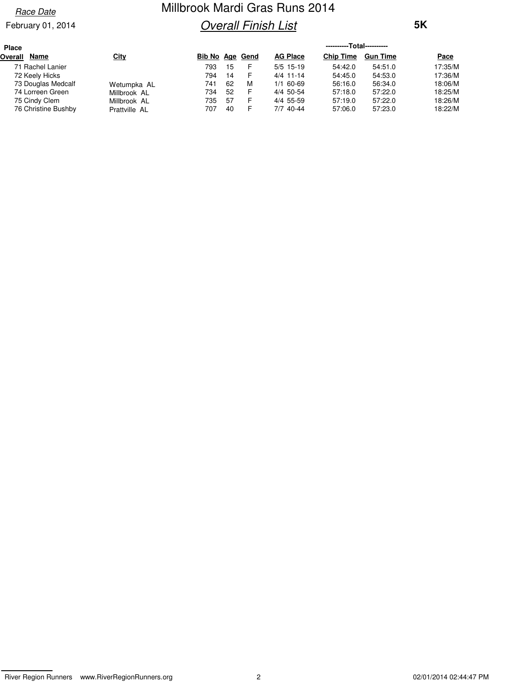### February 01, 2014

# Millbrook Mardi Gras Runs 2014 **Overall Finish List**

| Place                  |               | ----------Total---------- |    |   |                 |                  |                 |             |  |  |
|------------------------|---------------|---------------------------|----|---|-----------------|------------------|-----------------|-------------|--|--|
| <b>Name</b><br>Overall | <u>City</u>   | Bib No Age Gend           |    |   | <b>AG Place</b> | <b>Chip Time</b> | <b>Gun Time</b> | <u>Pace</u> |  |  |
| 71 Rachel Lanier       |               | 793                       | 15 | F | $5/5$ 15-19     | 54:42.0          | 54:51.0         | 17:35/M     |  |  |
| 72 Keely Hicks         |               | 794                       | 14 | F | $4/4$ 11-14     | 54:45.0          | 54:53.0         | 17:36/M     |  |  |
| 73 Douglas Medcalf     | Wetumpka AL   | 741                       | 62 | M | $1/1$ 60-69     | 56:16.0          | 56:34.0         | 18:06/M     |  |  |
| 74 Lorreen Green       | Millbrook AL  | 734                       | 52 | F | 4/4 50-54       | 57:18.0          | 57:22.0         | 18:25/M     |  |  |
| 75 Cindy Clem          | Millbrook AL  | 735                       | 57 | F | 4/4 55-59       | 57:19.0          | 57:22.0         | 18:26/M     |  |  |
| 76 Christine Bushby    | Prattville AL | 707                       | 40 | F | 7/7 40-44       | 57:06.0          | 57:23.0         | 18:22/M     |  |  |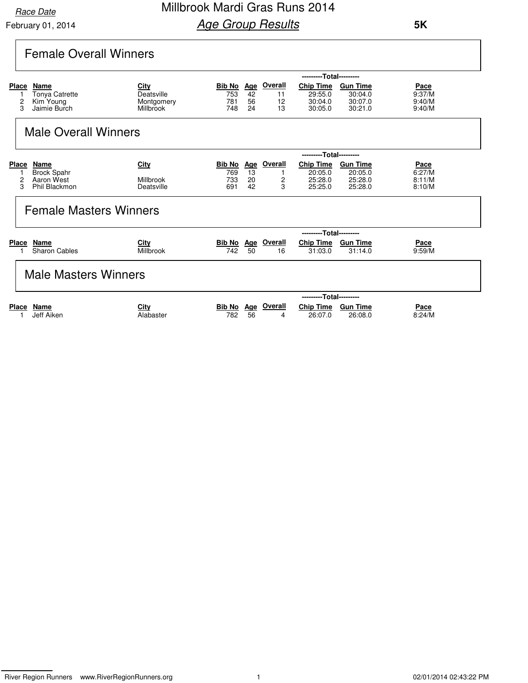Millbrook Mardi Gras Runs 2014 **Age Group Results** 

|                   | <b>Female Overall Winners</b>                                        |                                               |                                    |                              |                                |                                                   |                                                  |                                           |
|-------------------|----------------------------------------------------------------------|-----------------------------------------------|------------------------------------|------------------------------|--------------------------------|---------------------------------------------------|--------------------------------------------------|-------------------------------------------|
|                   |                                                                      |                                               |                                    |                              |                                | ---------Total---------                           |                                                  |                                           |
| <b>Place</b>      | Name<br><b>Tonya Catrette</b><br>2<br>Kim Young<br>3<br>Jaimie Burch | City<br>Deatsville<br>Montgomery<br>Millbrook | <b>Bib No</b><br>753<br>781<br>748 | Age<br>42<br>56<br>24        | Overall<br>11<br>12<br>13      | <b>Chip Time</b><br>29:55.0<br>30:04.0<br>30:05.0 | <b>Gun Time</b><br>30:04.0<br>30:07.0<br>30:21.0 | <b>Pace</b><br>9:37/M<br>9:40/M<br>9:40/M |
|                   | <b>Male Overall Winners</b>                                          |                                               |                                    |                              |                                |                                                   |                                                  |                                           |
|                   |                                                                      |                                               |                                    |                              |                                | ---------Total---------                           |                                                  |                                           |
| <b>Place</b><br>1 | Name<br><b>Brock Spahr</b><br>2<br>Aaron West<br>3<br>Phil Blackmon  | City<br>Millbrook<br>Deatsville               | Bib No<br>769<br>733<br>691        | <b>Age</b><br>13<br>20<br>42 | <b>Overall</b><br>1<br>2<br>3  | <b>Chip Time</b><br>20:05.0<br>25:28.0<br>25:25.0 | <b>Gun Time</b><br>20:05.0<br>25:28.0<br>25:28.0 | Pace<br>6:27/M<br>8:11/M<br>8:10/M        |
|                   | <b>Female Masters Winners</b>                                        |                                               |                                    |                              |                                |                                                   |                                                  |                                           |
|                   |                                                                      |                                               |                                    |                              |                                | ---------Total---------                           |                                                  |                                           |
| <b>Place</b>      | Name<br><b>Sharon Cables</b>                                         | City<br>Millbrook                             | Bib No Age<br>742                  | 50                           | Overall<br>16                  | <b>Chip Time</b><br>31:03.0                       | <b>Gun Time</b><br>31:14.0                       | Pace<br>9:59/M                            |
|                   | <b>Male Masters Winners</b>                                          |                                               |                                    |                              |                                |                                                   |                                                  |                                           |
|                   |                                                                      |                                               |                                    |                              |                                | ---------Total---------                           |                                                  |                                           |
| <b>Place</b>      | Name<br>Jeff Aiken                                                   | City<br>Alabaster                             | 782                                | 56                           | <b>Bib No</b> Age Overall<br>4 | <b>Chip Time</b><br>26:07.0                       | <b>Gun Time</b><br>26:08.0                       | <b>Pace</b><br>8:24/M                     |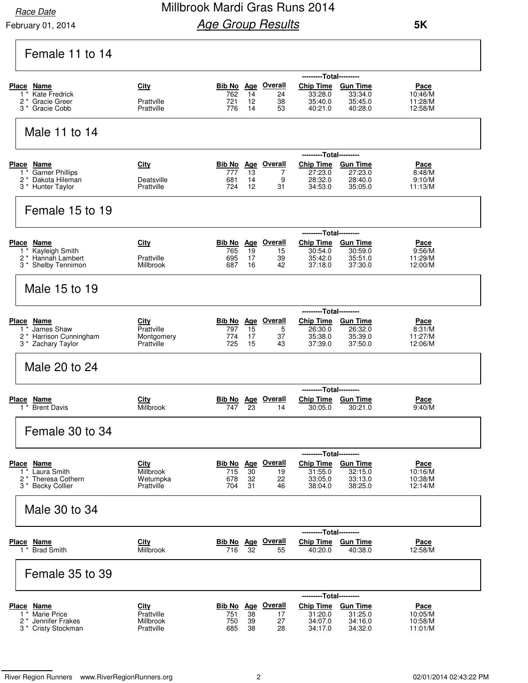## Millbrook Mardi Gras Runs 2014 **Age Group Results**

| Female 11 to 14                                                                                         |                                                      |                                                                                                                                                                                                                                                                       |
|---------------------------------------------------------------------------------------------------------|------------------------------------------------------|-----------------------------------------------------------------------------------------------------------------------------------------------------------------------------------------------------------------------------------------------------------------------|
| Place<br>Name<br><b>Kate Fredrick</b><br>$1^*$<br>2<br>Gracie Greer<br>Gracie Cobb<br>3                 | City<br>Prattville<br>Prattville                     | ---------Total---------<br><b>Bib No Age Overall</b><br><b>Chip Time</b><br><b>Gun Time</b><br>Pace<br>762<br>14<br>33:28.0<br>33:34.0<br>10:46/M<br>24<br>12<br>38<br>35:40.0<br>35:45.0<br>11:28/M<br>721<br>776<br>14<br>53<br>40:21.0<br>40:28.0<br>12:58/M       |
| Male 11 to 14                                                                                           |                                                      |                                                                                                                                                                                                                                                                       |
| Place Name<br>Garner Phillips<br>$1^*$<br>2 <sup>*</sup> Dakota Hileman<br>3 <sup>*</sup> Hunter Taylor | City<br>Deatsville<br>Prattville                     | ---------Total---------<br><b>Overall</b><br><b>Chip Time</b><br>Bib No Age<br><b>Gun Time</b><br><u>Pace</u><br>777<br>13<br>7<br>27:23.0<br>27:23.0<br>8:48/M<br>28:40.0<br>681<br>14<br>9<br>28:32.0<br>9:10/M<br>12<br>724<br>31<br>34:53.0<br>35:05.0<br>11:13/M |
| Female 15 to 19                                                                                         |                                                      |                                                                                                                                                                                                                                                                       |
| Place Name<br><b>Kayleigh Smith</b><br>$1^*$<br>2 <sup>*</sup> Hannah Lambert<br>3 * Shelby Tennimon    | <b>City</b><br>Prattville<br>Millbrook               | ---------Total---------<br><u>Overall</u><br><b>Chip Time</b><br>Bib No Age<br><b>Gun Time</b><br>Pace<br>9:56/M<br>765<br>19<br>15<br>30:54.0<br>30:59.0<br>695<br>17<br>39<br>35:42.0<br>35:51.0<br>11:29/M<br>16<br>42<br>687<br>37:18.0<br>37:30.0<br>12:00/M     |
| Male 15 to 19                                                                                           |                                                      |                                                                                                                                                                                                                                                                       |
| Place Name<br>James Shaw<br>1<br>Harrison Cunningham<br>2 *<br>3 * Zachary Taylor                       | City<br>Prattville<br>Montgomery<br>Prattville       | ---------Total---------<br><b>Overall</b><br>Chip Time Gun Time<br>Bib No Age<br>Pace<br>15<br>5<br>26:32.0<br>797<br>26:30.0<br>8:31/M<br>17<br>35:39.0<br>774<br>37<br>35:38.0<br>11:27/M<br>725<br>15<br>43<br>37:39.0<br>37:50.0<br>12:06/M                       |
| Male 20 to 24                                                                                           |                                                      |                                                                                                                                                                                                                                                                       |
| Place<br><u>Name</u><br><b>Brent Davis</b><br>1 *                                                       | City<br>Millbrook                                    | ---------Total---------<br>Overall<br>Chip Time Gun Time<br><u>Bib No Age</u><br><u>Pace</u><br>23<br>747<br>14<br>30:05.0<br>30:21.0<br>9:40/M                                                                                                                       |
| Female 30 to 34                                                                                         |                                                      |                                                                                                                                                                                                                                                                       |
| Place Name<br>Laura Smith<br>$1^*$<br><b>Theresa Cothern</b><br>2 *<br><b>Becky Collier</b><br>3 *      | <b>City</b><br>Millbrook<br>Wetumpka<br>Prattville   | ---------Total---------<br><b>Bib No Age Overall</b><br><b>Chip Time</b><br><b>Gun Time</b><br>Pace<br>715<br>30<br>31:55.0<br>32:15.0<br>10:16/M<br>19<br>678<br>33:05.0<br>33:13.0<br>32<br>22<br>10:38/M<br>38:25.0<br>704<br>31<br>38:04.0<br>12:14/M<br>46       |
| Male 30 to 34                                                                                           |                                                      |                                                                                                                                                                                                                                                                       |
| <b>Place Name</b><br>$1^*$<br><b>Brad Smith</b>                                                         | <b>City</b><br>Millbrook                             | ---------Total---------<br>Bib No Age Overall<br><b>Chip Time</b><br><b>Gun Time</b><br><b>Pace</b><br>716<br>32<br>12:58/M<br>55<br>40:20.0<br>40:38.0                                                                                                               |
| Female 35 to 39                                                                                         |                                                      |                                                                                                                                                                                                                                                                       |
| Place Name<br><b>Marie Price</b><br>1 *<br>Jennifer Frakes<br>2 *<br>3 <sup>*</sup> Cristy Stockman     | <b>City</b><br>Prattville<br>Millbrook<br>Prattville | ---------Total---------<br>Bib No Age Overall<br>Chip Time Gun Time<br><u>Pace</u><br>38<br>751<br>31:20.0<br>31:25.0<br>10:05/M<br>17<br>750<br>39<br>27<br>34:07.0<br>34:16.0<br>10:58/M<br>38<br>34:17.0<br>34:32.0<br>685<br>28<br>11:01/M                        |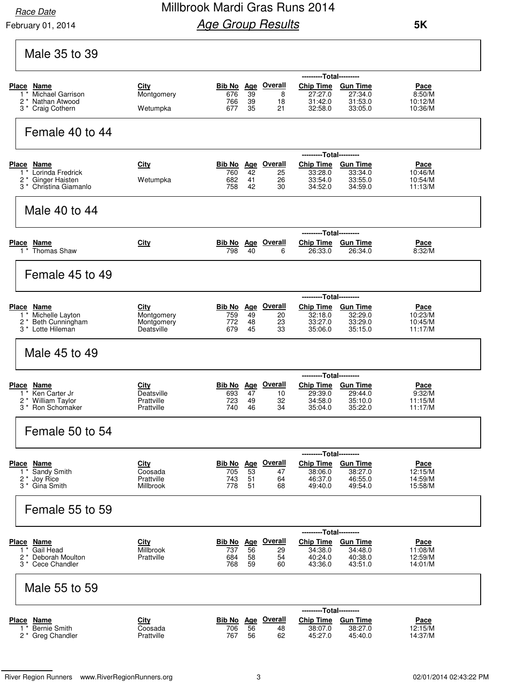February 01, 2014

## Millbrook Mardi Gras Runs 2014 **Age Group Results**

| Male 35 to 39                                                                                                            |                                                       |                   |                |                                             |                                                                                |                                                                      |                                              |
|--------------------------------------------------------------------------------------------------------------------------|-------------------------------------------------------|-------------------|----------------|---------------------------------------------|--------------------------------------------------------------------------------|----------------------------------------------------------------------|----------------------------------------------|
| Place Name<br><b>Michael Garrison</b><br>$1^*$<br>2<br>Nathan Atwood<br>3 * Craig Cothern                                | City<br>Montgomery<br>Wetumpka                        | 676<br>766<br>677 | 39<br>39<br>35 | <b>Bib No</b> Age Overall<br>8<br>18<br>21  | ---------Total---------<br>Chip Time Gun Time<br>27:27.0<br>31:42.0<br>32:58.0 | 27:34.0<br>31:53.0<br>33:05.0                                        | Pace<br>8:50/M<br>10:12/M<br>10:36/M         |
| Female 40 to 44                                                                                                          |                                                       |                   |                |                                             |                                                                                |                                                                      |                                              |
| <b>Place</b><br>Name<br>Lorinda Fredrick<br>$1^*$<br>2<br>Ginger Haisten<br>Christina Giamanlo<br>3 *                    | City<br>Wetumpka                                      | 760<br>682<br>758 | 42<br>41<br>42 | <b>Bib No</b> Age Overall<br>25<br>26<br>30 | ------<br><b>Chip Time</b><br>33:28.0<br>33:54.0<br>34:52.0                    | --Total---------<br><b>Gun Time</b><br>33:34.0<br>33:55.0<br>34:59.0 | Pace<br>10:46/M<br>10:54/M<br>11:13/M        |
| Male 40 to 44                                                                                                            |                                                       |                   |                |                                             |                                                                                |                                                                      |                                              |
| Place Name<br>1 <sup>*</sup> Thomas Shaw                                                                                 | City                                                  | 798               | 40             | <b>Bib No Age Overall</b><br>6              | ---------Total---------<br>Chip Time Gun Time<br>26:33.0                       | 26:34.0                                                              | Pace<br>8:32/M                               |
| Female 45 to 49                                                                                                          |                                                       |                   |                |                                             |                                                                                |                                                                      |                                              |
| <b>Place</b><br><u>Name</u><br>Michelle Layton<br>$1^*$<br>2 *<br><b>Beth Cunningham</b><br>3 <sup>*</sup> Lotte Hileman | <u>City</u><br>Montgomery<br>Montgomery<br>Deatsville | 759<br>772<br>679 | 49<br>48<br>45 | Bib No Age Overall<br>20<br>23<br>33        | ---------Total---------<br>Chip Time Gun Time<br>32:18.0<br>33:27.0<br>35:06.0 | 32:29.0<br>33:29.0<br>35:15.0                                        | Pace<br>10:23/M<br>10:45/M<br>11:17/M        |
| Male 45 to 49                                                                                                            |                                                       |                   |                |                                             |                                                                                |                                                                      |                                              |
| Place Name<br>Ken Carter Jr<br>$1^*$<br><b>William Taylor</b><br>2<br><b>Ron Schomaker</b><br>3                          | City<br>Deatsville<br>Prattville<br>Prattville        | 693<br>723<br>740 | 47<br>49<br>46 | <b>Bib No</b> Age Overall<br>10<br>32<br>34 | ---------Total---------<br>Chip Time Gun Time<br>29:39.0<br>34:58.0<br>35:04.0 | 29:44.0<br>35:10.0<br>35:22.0                                        | Pace<br>9:32/M<br>11:15/M<br>11:17/M         |
| Female 50 to 54                                                                                                          |                                                       |                   |                |                                             |                                                                                |                                                                      |                                              |
| Place Name<br>Sandy Smith<br>$1^*$<br>$2^*$<br>Joy Rice<br>3 <sup>*</sup> Gina Smith                                     | <b>City</b><br>Coosada<br>Prattville<br>Millbrook     | 705<br>743<br>778 | 53<br>51<br>51 | <b>Bib No</b> Age Overall<br>47<br>64<br>68 | ---------Total---------<br>Chip Time Gun Time<br>38:06.0<br>46:37.0<br>49:40.0 | 38:27.0<br>46:55.0<br>49:54.0                                        | <u>Pace</u><br>12:15/M<br>14:59/M<br>15:58/M |
| Female 55 to 59                                                                                                          |                                                       |                   |                |                                             |                                                                                |                                                                      |                                              |
| Place Name<br>1 * Gail Head<br>* Deborah Moulton<br>2<br>3 * Cece Chandler                                               | <b>City</b><br>Millbrook<br>Prattville                | 737<br>684<br>768 | 56<br>58<br>59 | <b>Bib No</b> Age Overall<br>29<br>54<br>60 | ---------Total---------<br>Chip Time Gun Time<br>34:38.0<br>40:24.0<br>43:36.0 | 34:48.0<br>40:38.0<br>43:51.0                                        | Pace<br>11:08/M<br>12:59/M<br>14:01/M        |
| Male 55 to 59                                                                                                            |                                                       |                   |                |                                             |                                                                                |                                                                      |                                              |
| Place Name<br>1 <sup>*</sup> Bernie Smith<br>2 * Greg Chandler                                                           | <u>City</u><br>Coosada<br>Prattville                  | 706<br>767        | 56<br>56       | <b>Bib No Age Overall</b><br>48<br>62       | ---------Total---------<br><b>Chip Time</b><br>38:07.0<br>45:27.0              | <b>Gun Time</b><br>38:27.0<br>45:40.0                                | <b>Pace</b><br>12:15/M<br>14:37/M            |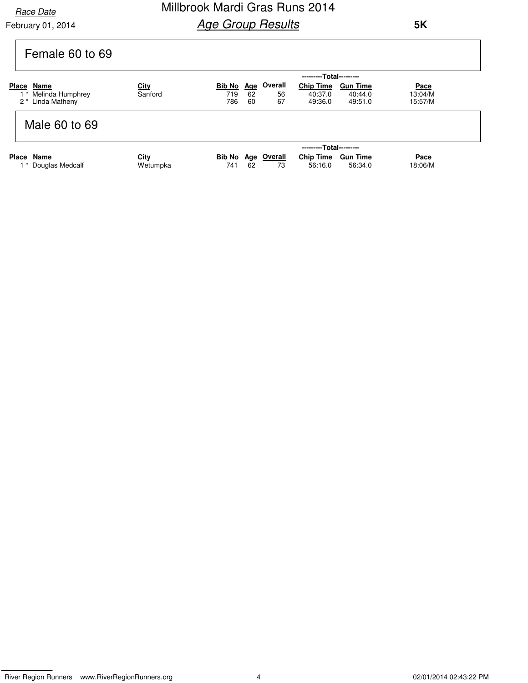February 01, 2014

## Millbrook Mardi Gras Runs 2014 **Age Group Results**

| Female 60 to 69                                                    |                         |                                                                                                                                                                                               |  |
|--------------------------------------------------------------------|-------------------------|-----------------------------------------------------------------------------------------------------------------------------------------------------------------------------------------------|--|
|                                                                    |                         | ---------Total---------                                                                                                                                                                       |  |
| <b>Place</b><br>Name<br>Melinda Humphrey<br>Linda Matheny<br>$2^*$ | <u>City</u><br>Sanford  | <u>Overall</u><br><b>Chip Time</b><br>Bib No<br><u>Age</u><br><b>Gun Time</b><br>Pace<br>719<br>62<br>40:37.0<br>13:04/M<br>56<br>40:44.0<br>67<br>786<br>15:57/M<br>60<br>49:51.0<br>49:36.0 |  |
| Male 60 to 69                                                      |                         |                                                                                                                                                                                               |  |
|                                                                    |                         | ---------Total---------                                                                                                                                                                       |  |
| Place<br>Name<br>Douglas Medcalf                                   | <u>City</u><br>Wetumpka | <b>Overall</b><br><b>Chip Time</b><br><b>Bib No</b><br><b>Gun Time</b><br>Pace<br><u>Age</u><br>741<br>18:06/M<br>62<br>73<br>56:16.0<br>56:34.0                                              |  |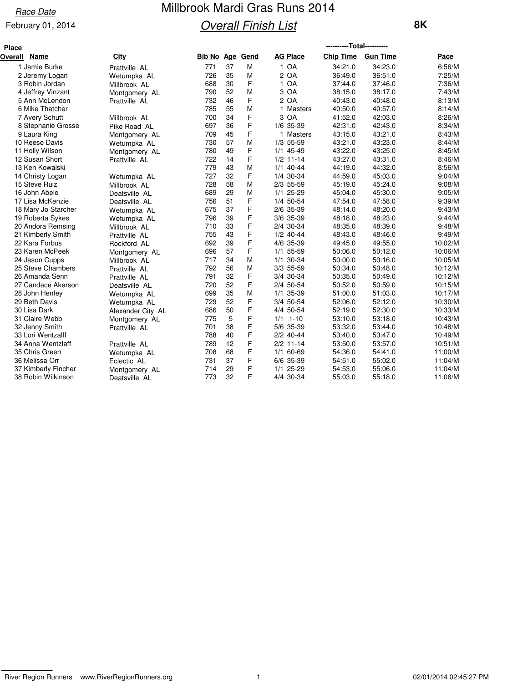### February 01, 2014

# Millbrook Mardi Gras Runs 2014 **Overall Finish List**

| <b>Place</b> |                     |                   |                        |    |   |                 | ----------Total---------- |                 |         |
|--------------|---------------------|-------------------|------------------------|----|---|-----------------|---------------------------|-----------------|---------|
| Overall      | Name                | City              | <b>Bib No Age Gend</b> |    |   | <b>AG Place</b> | <b>Chip Time</b>          | <b>Gun Time</b> | Pace    |
|              | 1 Jamie Burke       | Prattville AL     | 771                    | 37 | M | 1 OA            | 34:21.0                   | 34:23.0         | 6:56/M  |
|              | 2 Jeremy Logan      | Wetumpka AL       | 726                    | 35 | M | 2 OA            | 36:49.0                   | 36:51.0         | 7:25/M  |
|              | 3 Robin Jordan      | Millbrook AL      | 688                    | 30 | F | 1 OA            | 37:44.0                   | 37:46.0         | 7:36/M  |
|              | 4 Jeffrey Vinzant   | Montgomery AL     | 790                    | 52 | M | 3 OA            | 38:15.0                   | 38:17.0         | 7:43/M  |
|              | 5 Ann McLendon      | Prattville AL     | 732                    | 46 | F | 2 OA            | 40:43.0                   | 40:48.0         | 8:13/M  |
|              | 6 Mike Thatcher     |                   | 785                    | 55 | M | 1 Masters       | 40:50.0                   | 40:57.0         | 8:14/M  |
|              | 7 Avery Schutt      | Millbrook AL      | 700                    | 34 | F | 3 OA            | 41:52.0                   | 42:03.0         | 8:26/M  |
|              | 8 Stephanie Grosse  | Pike Road AL      | 697                    | 36 | F | 1/6 35-39       | 42:31.0                   | 42:43.0         | 8:34/M  |
|              | 9 Laura King        | Montgomery AL     | 709                    | 45 | F | 1 Masters       | 43:15.0                   | 43:21.0         | 8:43/M  |
|              | 10 Reese Davis      | Wetumpka AL       | 730                    | 57 | M | 1/3 55-59       | 43:21.0                   | 43:23.0         | 8:44/M  |
|              | 11 Holly Wilson     | Montgomery AL     | 780                    | 49 | F | 1/1 45-49       | 43:22.0                   | 43:25.0         | 8:45/M  |
|              | 12 Susan Short      | Prattville AL     | 722                    | 14 | F | $1/2$ 11-14     | 43:27.0                   | 43:31.0         | 8:46/M  |
|              | 13 Ken Kowalski     |                   | 779                    | 43 | M | $1/1$ 40-44     | 44:19.0                   | 44:32.0         | 8:56/M  |
|              | 14 Christy Logan    | Wetumpka AL       | 727                    | 32 | F | 1/4 30-34       | 44:59.0                   | 45:03.0         | 9:04/M  |
|              | 15 Steve Ruiz       | Millbrook AL      | 728                    | 58 | M | 2/3 55-59       | 45:19.0                   | 45:24.0         | 9:08/M  |
|              | 16 John Abele       | Deatsville AL     | 689                    | 29 | M | 1/1 25-29       | 45:04.0                   | 45:30.0         | 9:05/M  |
|              | 17 Lisa McKenzie    | Deatsville AL     | 756                    | 51 | F | 1/4 50-54       | 47:54.0                   | 47:58.0         | 9:39/M  |
|              | 18 Mary Jo Starcher | Wetumpka AL       | 675                    | 37 | F | 2/6 35-39       | 48:14.0                   | 48:20.0         | 9:43/M  |
|              | 19 Roberta Sykes    | Wetumpka AL       | 796                    | 39 | F | 3/6 35-39       | 48:18.0                   | 48:23.0         | 9:44/M  |
|              | 20 Andora Remsing   | Millbrook AL      | 710                    | 33 | F | 2/4 30-34       | 48:35.0                   | 48:39.0         | 9:48/M  |
|              | 21 Kimberly Smith   | Prattville AL     | 755                    | 43 | F | $1/2$ 40-44     | 48:43.0                   | 48:46.0         | 9:49/M  |
|              | 22 Kara Forbus      | Rockford AL       | 692                    | 39 | F | 4/6 35-39       | 49:45.0                   | 49:55.0         | 10:02/M |
|              | 23 Karen McPeek     | Montgomery AL     | 696                    | 57 | F | 1/1 55-59       | 50:06.0                   | 50:12.0         | 10:06/M |
|              | 24 Jason Cupps      | Millbrook AL      | 717                    | 34 | M | 1/1 30-34       | 50:00.0                   | 50:16.0         | 10:05/M |
|              | 25 Steve Chambers   | Prattville AL     | 792                    | 56 | M | 3/3 55-59       | 50:34.0                   | 50:48.0         | 10:12/M |
|              | 26 Amanda Senn      | Prattville AL     | 791                    | 32 | F | 3/4 30-34       | 50:35.0                   | 50:49.0         | 10:12/M |
|              | 27 Candace Akerson  | Deatsville AL     | 720                    | 52 | F | 2/4 50-54       | 50:52.0                   | 50:59.0         | 10:15/M |
|              | 28 John Henfey      | Wetumpka AL       | 699                    | 35 | M | 1/1 35-39       | 51:00.0                   | 51:03.0         | 10:17/M |
|              | 29 Beth Davis       | Wetumpka AL       | 729                    | 52 | F | 3/4 50-54       | 52:06.0                   | 52:12.0         | 10:30/M |
|              | 30 Lisa Dark        | Alexander City AL | 686                    | 50 | F | 4/4 50-54       | 52:19.0                   | 52:30.0         | 10:33/M |
|              | 31 Claire Webb      | Montgomery AL     | 775                    | 5  | F | $1/1$ 1-10      | 53:10.0                   | 53:18.0         | 10:43/M |
|              | 32 Jenny Smith      | Prattville AL     | 701                    | 38 | F | 5/6 35-39       | 53:32.0                   | 53:44.0         | 10:48/M |
|              | 33 Lori Wentzalff   |                   | 788                    | 40 | F | $2/2$ 40-44     | 53:40.0                   | 53:47.0         | 10:49/M |
|              | 34 Anna Wentzlaff   | Prattville AL     | 789                    | 12 | F | $2/2$ 11-14     | 53:50.0                   | 53:57.0         | 10:51/M |
|              | 35 Chris Green      | Wetumpka AL       | 708                    | 68 | F | 1/1 60-69       | 54:36.0                   | 54:41.0         | 11:00/M |
|              | 36 Melissa Orr      | Eclectic AL       | 731                    | 37 | F | 6/6 35-39       | 54:51.0                   | 55:02.0         | 11:04/M |
|              | 37 Kimberly Fincher | Montgomery AL     | 714                    | 29 | F | $1/1$ 25-29     | 54:53.0                   | 55:06.0         | 11:04/M |
|              | 38 Robin Wilkinson  | Deatsville AL     | 773                    | 32 | F | 4/4 30-34       | 55:03.0                   | 55:18.0         | 11:06/M |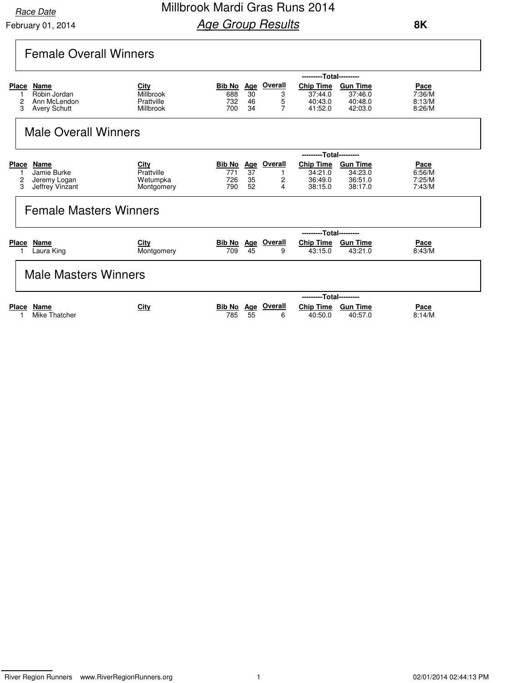Millbrook Mardi Gras Runs 2014 **Age Group Results** 

|                                                     | <b>Female Overall Winners</b>                               |                                              |                                 |                              |                               |                                                   |                                                  |                                    |
|-----------------------------------------------------|-------------------------------------------------------------|----------------------------------------------|---------------------------------|------------------------------|-------------------------------|---------------------------------------------------|--------------------------------------------------|------------------------------------|
|                                                     |                                                             |                                              |                                 |                              |                               | ---------Total---------                           |                                                  |                                    |
| Place<br>2<br>3                                     | Name<br>Robin Jordan<br>Ann McLendon<br><b>Avery Schutt</b> | City<br>Millbrook<br>Prattville<br>Millbrook | Bib No Age<br>688<br>732<br>700 | 30<br>46<br>34               | Overall<br>3<br>5<br>7        | <b>Chip Time</b><br>37:44.0<br>40:43.0<br>41:52.0 | <b>Gun Time</b><br>37:46.0<br>40:48.0<br>42:03.0 | Pace<br>7:36/M<br>8:13/M<br>8:26/M |
|                                                     | <b>Male Overall Winners</b>                                 |                                              |                                 |                              |                               |                                                   |                                                  |                                    |
|                                                     |                                                             |                                              |                                 |                              |                               | ---------Total---------                           |                                                  |                                    |
| <b>Place</b><br>$\mathbf{1}$<br>$\overline{c}$<br>3 | Name<br>Jamie Burke<br>Jeremy Logan<br>Jeffrey Vinzant      | City<br>Prattville<br>Wetumpka<br>Montgomery | Bib No<br>771<br>726<br>790     | <u>Age</u><br>37<br>35<br>52 | <b>Overall</b><br>1<br>2<br>4 | <b>Chip Time</b><br>34:21.0<br>36:49.0<br>38:15.0 | <b>Gun Time</b><br>34:23.0<br>36:51.0<br>38:17.0 | Pace<br>6:56/M<br>7:25/M<br>7:43/M |
|                                                     | <b>Female Masters Winners</b>                               |                                              |                                 |                              |                               |                                                   |                                                  |                                    |
|                                                     |                                                             |                                              |                                 |                              |                               | ---------Total---------                           |                                                  |                                    |
| <b>Place</b>                                        | Name<br>Laura King                                          | City<br>Montgomery                           | Bib No Age<br>709               | 45                           | <b>Overall</b><br>9           | <b>Chip Time</b><br>43:15.0                       | <b>Gun Time</b><br>43:21.0                       | Pace<br>8:43/M                     |
|                                                     | <b>Male Masters Winners</b>                                 |                                              |                                 |                              |                               |                                                   |                                                  |                                    |
|                                                     |                                                             |                                              |                                 |                              |                               | ---------Total---------                           |                                                  |                                    |
| <b>Place</b>                                        | <b>Name</b><br>Mike Thatcher                                | City                                         | <b>Bib No</b><br>785            | Age<br>55                    | Overall<br>6                  | <b>Chip Time</b><br>40:50.0                       | <b>Gun Time</b><br>40:57.0                       | Pace<br>8:14/M                     |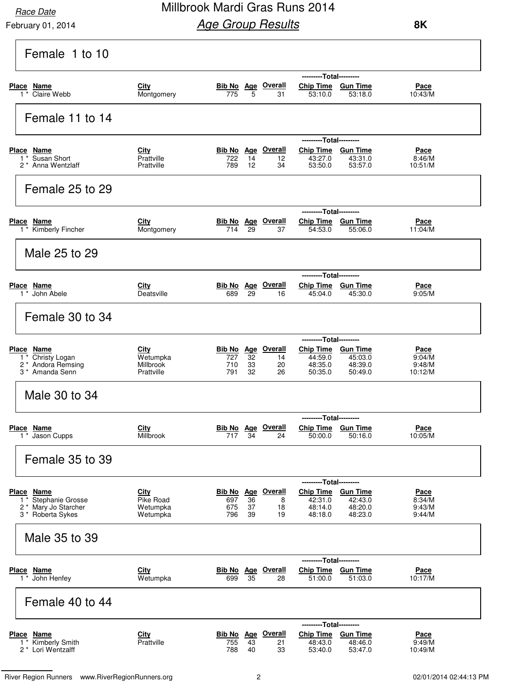February 01, 2014

## Millbrook Mardi Gras Runs 2014 **Age Group Results**

| Female 1 to 10                                                                                  |                                             |                                                                                                                                                                                                                                                                  |
|-------------------------------------------------------------------------------------------------|---------------------------------------------|------------------------------------------------------------------------------------------------------------------------------------------------------------------------------------------------------------------------------------------------------------------|
| Place Name<br>1 * Claire Webb                                                                   | City<br>Montgomery                          | ---------Total---------<br><b>Bib No</b> Age Overall<br>Chip Time Gun Time<br>Pace<br>5<br>10:43/M<br>775<br>31<br>53:10.0<br>53:18.0                                                                                                                            |
| Female 11 to 14                                                                                 |                                             |                                                                                                                                                                                                                                                                  |
| Place Name<br>Susan Short<br>$1^*$<br>2 <sup>*</sup> Anna Wentzlaff                             | City<br>Prattville<br>Prattville            | ---------Total---------<br>Bib No Age Overall<br>Chip Time Gun Time<br>Pace<br>722<br>14<br>43:27.0<br>43:31.0<br>8:46/M<br>12<br>53:50.0<br>789<br>12<br>34<br>53:57.0<br>10:51/M                                                                               |
| Female 25 to 29                                                                                 |                                             |                                                                                                                                                                                                                                                                  |
| Place Name<br>1 <sup>*</sup> Kimberly Fincher                                                   | <u>City</u><br>Montgomery                   | ---------Total---------<br><b>Bib No</b> Age Overall<br>Chip Time Gun Time<br><u>Pace</u><br>29<br>54:53.0<br>11:04/M<br>714<br>37<br>55:06.0                                                                                                                    |
| Male 25 to 29                                                                                   |                                             |                                                                                                                                                                                                                                                                  |
| Place Name<br>1 <sup>*</sup> John Abele                                                         | City<br>Deatsville                          | ---------Total---------<br><b>Bib No Age Overall</b><br><b>Chip Time</b><br><b>Gun Time</b><br><u>Pace</u><br>689<br>29<br>45:04.0<br>45:30.0<br>9:05/M<br>16                                                                                                    |
| Female 30 to 34                                                                                 |                                             |                                                                                                                                                                                                                                                                  |
| Place Name<br>Christy Logan<br>2 <sup>*</sup> Andora Remsing<br>3 <sup>*</sup> Amanda Senn      | City<br>Wetumpka<br>Millbrook<br>Prattville | ---------Total---------<br><b>Overall</b><br><b>Chip Time</b><br><b>Gun Time</b><br>Bib No Age<br>Pace<br>32<br>44:59.0<br>45:03.0<br>9:04/M<br>727<br>14<br>710<br>33<br>20<br>48:35.0<br>48:39.0<br>9:48/M<br>791<br>32<br>26<br>50:35.0<br>50:49.0<br>10:12/M |
| Male 30 to 34                                                                                   |                                             |                                                                                                                                                                                                                                                                  |
| Place Name<br>Jason Cupps<br>$1^*$                                                              | <b>City</b><br>Millbrook                    | ---------Total---------<br><u>Overall</u><br>Bib No Age<br><b>Chip Time</b><br><b>Gun Time</b><br>Pace<br>717<br>34<br>50:00.0<br>10:05/M<br>24<br>50:16.0                                                                                                       |
| Female 35 to 39                                                                                 |                                             |                                                                                                                                                                                                                                                                  |
| Place Name<br>Stephanie Grosse<br>$1^*$<br>2 * Mary Jo Starcher<br>3 <sup>*</sup> Roberta Sykes | City<br>Pike Road<br>Wetumpka<br>Wetumpka   | ---------Total---------<br><b>Bib No</b> Age Overall<br>Chip Time Gun Time<br>Pace<br>42:31.0<br>42:43.0<br>697<br>36<br>8<br>8:34/M<br>48:20.0<br>48:14.0<br>9:43/M<br>675<br>37<br>18<br>796<br>39<br>48:18.0<br>48:23.0<br>9:44/M<br>19                       |
| Male 35 to 39                                                                                   |                                             |                                                                                                                                                                                                                                                                  |
| Place Name<br>$1 *$ John Henfey                                                                 | City<br>Wetumpka                            | ---------Total---------<br>Bib No Age Overall<br><b>Gun Time</b><br><b>Chip Time</b><br>Pace<br>699<br>35<br>51:00.0<br>10:17/M<br>28<br>51:03.0                                                                                                                 |
| Female 40 to 44                                                                                 |                                             |                                                                                                                                                                                                                                                                  |
| Place Name<br>Kimberly Smith<br>$1^*$<br>2 <sup>*</sup> Lori Wentzalff                          | City<br>Prattville                          | ---------Total---------<br>Age Overall<br><b>Chip Time</b><br><b>Gun Time</b><br><u>Bib No</u><br>Pace<br>48:46.0<br>9:49/M<br>755<br>43<br>48:43.0<br>21<br>788<br>33<br>53:47.0<br>53:40.0<br>10:49/M<br>40                                                    |